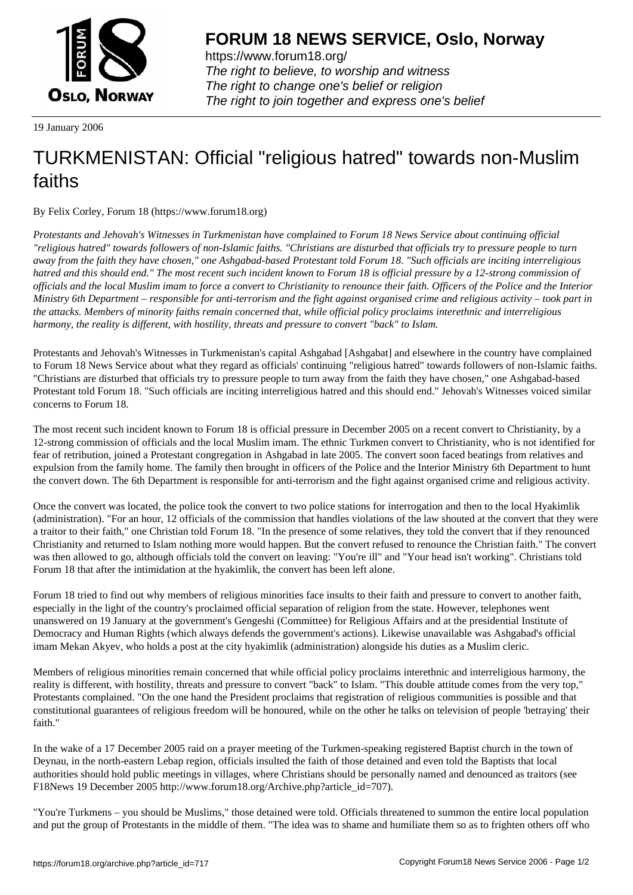

https://www.forum18.org/ The right to believe, to worship and witness The right to change one's belief or religion [The right to join together a](https://www.forum18.org/)nd express one's belief

19 January 2006

## [TURKMENISTA](https://www.forum18.org)N: Official "religious hatred" towards non-Muslim faiths

By Felix Corley, Forum 18 (https://www.forum18.org)

*Protestants and Jehovah's Witnesses in Turkmenistan have complained to Forum 18 News Service about continuing official "religious hatred" towards followers of non-Islamic faiths. "Christians are disturbed that officials try to pressure people to turn away from the faith they have chosen," one Ashgabad-based Protestant told Forum 18. "Such officials are inciting interreligious hatred and this should end." The most recent such incident known to Forum 18 is official pressure by a 12-strong commission of officials and the local Muslim imam to force a convert to Christianity to renounce their faith. Officers of the Police and the Interior Ministry 6th Department – responsible for anti-terrorism and the fight against organised crime and religious activity – took part in the attacks. Members of minority faiths remain concerned that, while official policy proclaims interethnic and interreligious harmony, the reality is different, with hostility, threats and pressure to convert "back" to Islam.*

Protestants and Jehovah's Witnesses in Turkmenistan's capital Ashgabad [Ashgabat] and elsewhere in the country have complained to Forum 18 News Service about what they regard as officials' continuing "religious hatred" towards followers of non-Islamic faiths. "Christians are disturbed that officials try to pressure people to turn away from the faith they have chosen," one Ashgabad-based Protestant told Forum 18. "Such officials are inciting interreligious hatred and this should end." Jehovah's Witnesses voiced similar concerns to Forum 18.

The most recent such incident known to Forum 18 is official pressure in December 2005 on a recent convert to Christianity, by a 12-strong commission of officials and the local Muslim imam. The ethnic Turkmen convert to Christianity, who is not identified for fear of retribution, joined a Protestant congregation in Ashgabad in late 2005. The convert soon faced beatings from relatives and expulsion from the family home. The family then brought in officers of the Police and the Interior Ministry 6th Department to hunt the convert down. The 6th Department is responsible for anti-terrorism and the fight against organised crime and religious activity.

Once the convert was located, the police took the convert to two police stations for interrogation and then to the local Hyakimlik (administration). "For an hour, 12 officials of the commission that handles violations of the law shouted at the convert that they were a traitor to their faith," one Christian told Forum 18. "In the presence of some relatives, they told the convert that if they renounced Christianity and returned to Islam nothing more would happen. But the convert refused to renounce the Christian faith." The convert was then allowed to go, although officials told the convert on leaving: "You're ill" and "Your head isn't working". Christians told Forum 18 that after the intimidation at the hyakimlik, the convert has been left alone.

Forum 18 tried to find out why members of religious minorities face insults to their faith and pressure to convert to another faith, especially in the light of the country's proclaimed official separation of religion from the state. However, telephones went unanswered on 19 January at the government's Gengeshi (Committee) for Religious Affairs and at the presidential Institute of Democracy and Human Rights (which always defends the government's actions). Likewise unavailable was Ashgabad's official imam Mekan Akyev, who holds a post at the city hyakimlik (administration) alongside his duties as a Muslim cleric.

Members of religious minorities remain concerned that while official policy proclaims interethnic and interreligious harmony, the reality is different, with hostility, threats and pressure to convert "back" to Islam. "This double attitude comes from the very top," Protestants complained. "On the one hand the President proclaims that registration of religious communities is possible and that constitutional guarantees of religious freedom will be honoured, while on the other he talks on television of people 'betraying' their faith."

In the wake of a 17 December 2005 raid on a prayer meeting of the Turkmen-speaking registered Baptist church in the town of Deynau, in the north-eastern Lebap region, officials insulted the faith of those detained and even told the Baptists that local authorities should hold public meetings in villages, where Christians should be personally named and denounced as traitors (see F18News 19 December 2005 http://www.forum18.org/Archive.php?article\_id=707).

"You're Turkmens – you should be Muslims," those detained were told. Officials threatened to summon the entire local population and put the group of Protestants in the middle of them. "The idea was to shame and humiliate them so as to frighten others off who